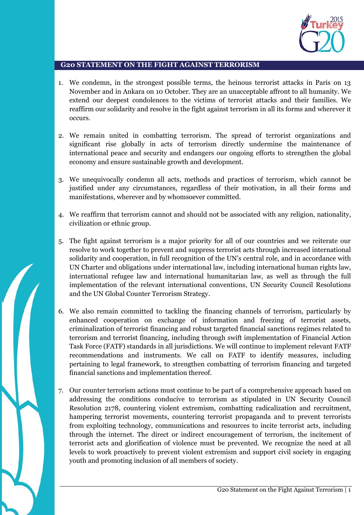

## **G20 STATEMENT ON THE FIGHT AGAINST TERRORISM**

- 1. We condemn, in the strongest possible terms, the heinous terrorist attacks in Paris on 13 November and in Ankara on 10 October. They are an unacceptable affront to all humanity. We extend our deepest condolences to the victims of terrorist attacks and their families. We reaffirm our solidarity and resolve in the fight against terrorism in all its forms and wherever it occurs.
- 2. We remain united in combatting terrorism. The spread of terrorist organizations and significant rise globally in acts of terrorism directly undermine the maintenance of international peace and security and endangers our ongoing efforts to strengthen the global economy and ensure sustainable growth and development.
- 3. We unequivocally condemn all acts, methods and practices of terrorism, which cannot be justified under any circumstances, regardless of their motivation, in all their forms and manifestations, wherever and by whomsoever committed.
- 4. We reaffirm that terrorism cannot and should not be associated with any religion, nationality, civilization or ethnic group.
- 5. The fight against terrorism is a major priority for all of our countries and we reiterate our resolve to work together to prevent and suppress terrorist acts through increased international solidarity and cooperation, in full recognition of the UN's central role, and in accordance with UN Charter and obligations under international law, including international human rights law, international refugee law and international humanitarian law, as well as through the full implementation of the relevant international conventions, UN Security Council Resolutions and the UN Global Counter Terrorism Strategy.
- 6. We also remain committed to tackling the financing channels of terrorism, particularly by enhanced cooperation on exchange of information and freezing of terrorist assets, criminalization of terrorist financing and robust targeted financial sanctions regimes related to terrorism and terrorist financing, including through swift implementation of Financial Action Task Force (FATF) standards in all jurisdictions. We will continue to implement relevant FATF recommendations and instruments. We call on FATF to identify measures, including pertaining to legal framework, to strengthen combatting of terrorism financing and targeted financial sanctions and implementation thereof.
- 7. Our counter terrorism actions must continue to be part of a comprehensive approach based on addressing the conditions conducive to terrorism as stipulated in UN Security Council Resolution 2178, countering violent extremism, combatting radicalization and recruitment, hampering terrorist movements, countering terrorist propaganda and to prevent terrorists from exploiting technology, communications and resources to incite terrorist acts, including through the internet. The direct or indirect encouragement of terrorism, the incitement of terrorist acts and glorification of violence must be prevented. We recognize the need at all levels to work proactively to prevent violent extremism and support civil society in engaging youth and promoting inclusion of all members of society.